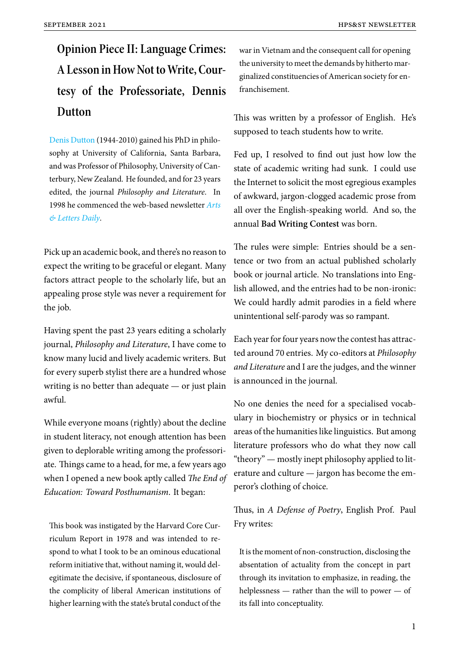## **Opinion Piece II: Language Crimes:** A Lesson in How Not to Write, Cour**tesy of the Professoriate, Dennis Dutton**

Denis Dutton (1944-2010) gained his PhD in philosophy at University of California, Santa Barbara, and was Professor of Philosophy, University of Can[terbury, New Z](https://en.wikipedia.org/wiki/Denis_Dutton)ealand. He founded, and for 23 years edited, the journal *Philosophy and Literature*. In 1998 he commenced the web-based newsletter *Arts & Letters Daily*.

P[ick up an acad](https://www.aldaily.com)emic book, and there's no rea[son t](https://www.aldaily.com)o expect the writing to be graceful or elegant. Many factors attract people to the scholarly life, but an appealing prose style was never a requirement for the job.

Having spent the past 23 years editing a scholarly journal, *Philosophy and Literature*, I have come to know many lucid and lively academic writers. But for every superb stylist there are a hundred whose writing is no better than adequate — or just plain awful.

While everyone moans (rightly) about the decline in student literacy, not enough attention has been given to deplorable writing among the professoriate. Things came to a head, for me, a few years ago when I opened a new book aptly called *The End of Education: Toward Posthumanism*. It began:

This book was instigated by the Harvard Core Curriculum Report in 1978 and was intended to respond to what I took to be an ominous educational reform initiative that, without naming it, would delegitimate the decisive, if spontaneous, disclosure of the complicity of liberal American institutions of higher learning with the state's brutal conduct of the

war in Vietnam and the consequent call for opening the university to meet the demands by hitherto marginalized constituencies of American society for enfranchisement.

This was written by a professor of English. He's supposed to teach students how to write.

Fed up, I resolved to find out just how low the state of academic writing had sunk. I could use the Internet to solicit the most egregious examples of awkward, jargon-clogged academic prose from all over the English-speaking world. And so, the annual **Bad Writing Contest** was born.

The rules were simple: Entries should be a sentence or two from an actual published scholarly book or journal article. No translations into English allowed, and the entries had to be non-ironic: We could hardly admit parodies in a field where unintentional self-parody was so rampant.

Each year for four years now the contest has attracted around 70 entries. My co-editors at *Philosophy and Literature* and I are the judges, and the winner is announced in the journal.

No one denies the need for a specialised vocabulary in biochemistry or physics or in technical areas of the humanities like linguistics. But among literature professors who do what they now call "theory" — mostly inept philosophy applied to literature and culture — jargon has become the emperor's clothing of choice.

Thus, in *A Defense of Poetry*, English Prof. Paul Fry writes:

It is the moment of non-construction, disclosing the absentation of actuality from the concept in part through its invitation to emphasize, in reading, the helplessness — rather than the will to power — of its fall into conceptuality.